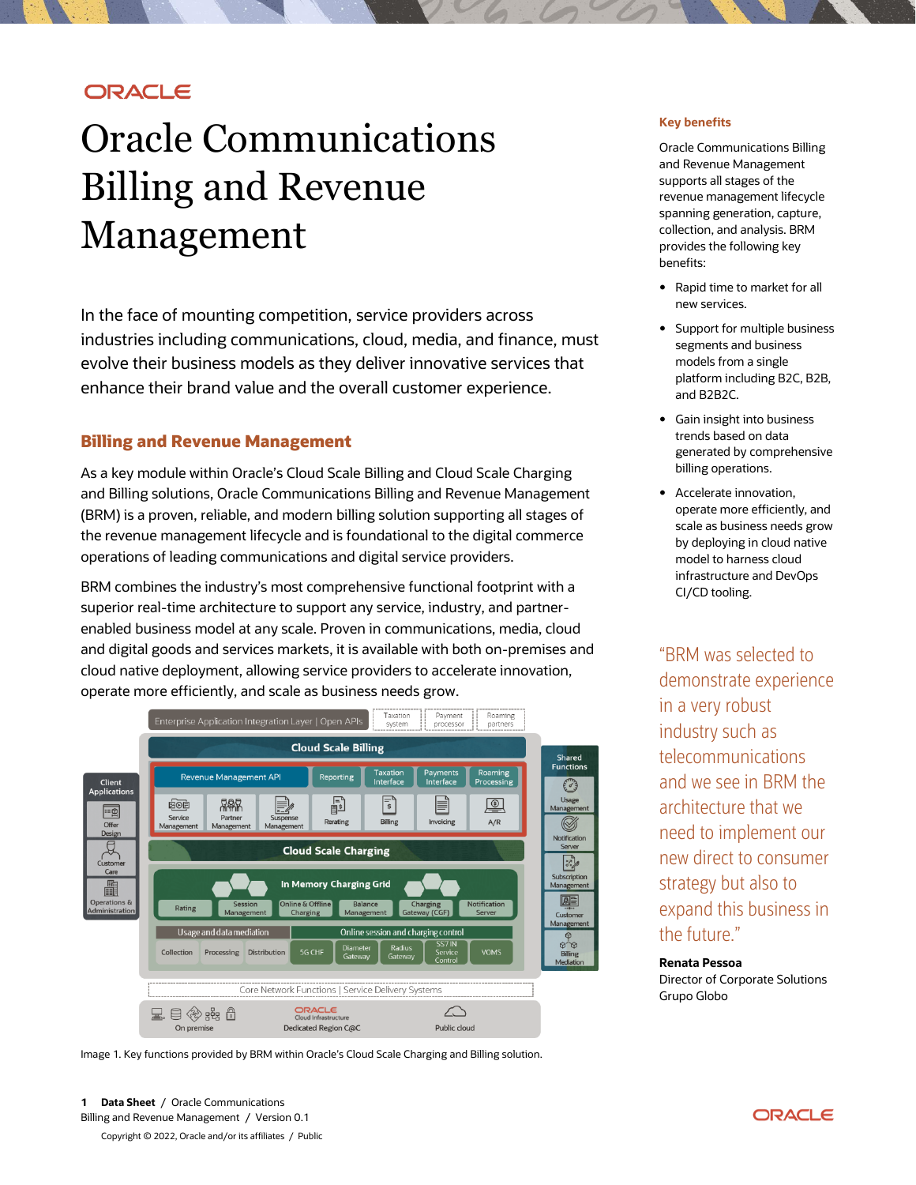## **ORACLE**

# Oracle Communications Billing and Revenue Management

In the face of mounting competition, service providers across industries including communications, cloud, media, and finance, must evolve their business models as they deliver innovative services that enhance their brand value and the overall customer experience.

## **Billing and Revenue Management**

As a key module within Oracle's Cloud Scale Billing and Cloud Scale Charging and Billing solutions, Oracle Communications Billing and Revenue Management (BRM) is a proven, reliable, and modern billing solution supporting all stages of the revenue management lifecycle and is foundational to the digital commerce operations of leading communications and digital service providers.

BRM combines the industry's most comprehensive functional footprint with a superior real-time architecture to support any service, industry, and partnerenabled business model at any scale. Proven in communications, media, cloud and digital goods and services markets, it is available with both on-premises and cloud native deployment, allowing service providers to accelerate innovation, operate more efficiently, and scale as business needs grow.



Image 1. Key functions provided by BRM within Oracle's Cloud Scale Charging and Billing solution.

**1 Data Sheet** / Oracle Communications Billing and Revenue Management / Version 0.1

Copyright © 2022, Oracle and/or its affiliates / Public

#### **Key benefits**

Oracle Communications Billing and Revenue Management supports all stages of the revenue management lifecycle spanning generation, capture, collection, and analysis. BRM provides the following key benefits:

- Rapid time to market for all new services.
- Support for multiple business segments and business models from a single platform including B2C, B2B, and B2B2C.
- Gain insight into business trends based on data generated by comprehensive billing operations.
- Accelerate innovation, operate more efficiently, and scale as business needs grow by deploying in cloud native model to harness cloud infrastructure and DevOps CI/CD tooling.

"BRM was selected to demonstrate experience in a very robust industry such as telecommunications and we see in BRM the architecture that we need to implement our new direct to consumer strategy but also to expand this business in the future."

**Renata Pessoa**  Director of Corporate Solutions Grupo Globo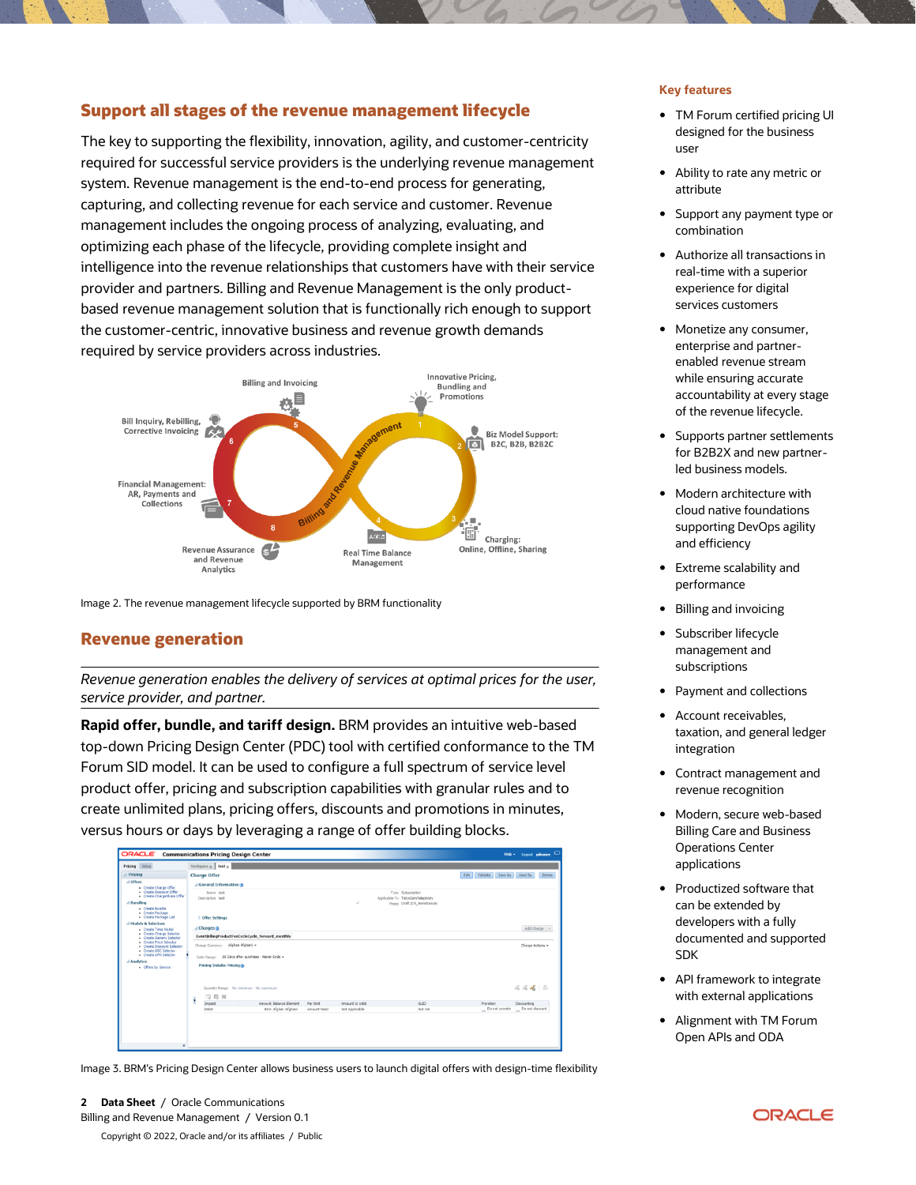## **Support all stages of the revenue management lifecycle**

The key to supporting the flexibility, innovation, agility, and customer-centricity required for successful service providers is the underlying revenue management system. Revenue management is the end-to-end process for generating, capturing, and collecting revenue for each service and customer. Revenue management includes the ongoing process of analyzing, evaluating, and optimizing each phase of the lifecycle, providing complete insight and intelligence into the revenue relationships that customers have with their service provider and partners. Billing and Revenue Management is the only productbased revenue management solution that is functionally rich enough to support the customer-centric, innovative business and revenue growth demands required by service providers across industries.



Image 2. The revenue management lifecycle supported by BRM functionality

## **Revenue generation**

*Revenue generation enables the delivery of services at optimal prices for the user, service provider, and partner.* 

**Rapid offer, bundle, and tariff design.** BRM provides an intuitive web-based top-down Pricing Design Center (PDC) tool with certified conformance to the TM Forum SID model. It can be used to configure a full spectrum of service level product offer, pricing and subscription capabilities with granular rules and to create unlimited plans, pricing offers, discounts and promotions in minutes, versus hours or days by leveraging a range of offer building blocks.

| Pricing Setup                                                                                                                                   | Workspace $\times$ test $\times$                  |                                        |             |                 |                                                                                     |                               |                                  |
|-------------------------------------------------------------------------------------------------------------------------------------------------|---------------------------------------------------|----------------------------------------|-------------|-----------------|-------------------------------------------------------------------------------------|-------------------------------|----------------------------------|
| Pricing                                                                                                                                         | <b>Charge Offer</b>                               |                                        |             |                 |                                                                                     | Edit Validate Save As Used By | Delete                           |
| d Offers<br>- Create Charge Offer<br>- Create Discount Offer<br>· Create ChargeShare Offer<br>d Bundling<br>· Create Bundle<br>- Create Package | General Information                               |                                        |             |                 |                                                                                     |                               |                                  |
|                                                                                                                                                 | Name test<br>Description test                     |                                        |             | $\mathcal{A}$   | Type Subscription<br>Applicable To TelcoGsmTelephony<br>Phase Draft (CS_Remittance) |                               |                                  |
| - Create Package List<br>d Models & Selectors                                                                                                   | <b>Offer Settings</b>                             |                                        |             |                 |                                                                                     |                               |                                  |
| · Create Time Model<br>- Create Charge Selector<br>- Create Generic Selector<br>. Create Price Selector<br>. Create Discount Selector           | A Charges ®                                       |                                        |             |                 |                                                                                     |                               | Add Charge                       |
|                                                                                                                                                 | EventBillingProductFeeCycleCycle_forward_monthly  |                                        |             |                 |                                                                                     |                               |                                  |
|                                                                                                                                                 | Charge Currency: Afghan Afghani -                 |                                        |             |                 |                                                                                     |                               | Charge Actions +                 |
| Create USC Selector<br>- Create APN Selector                                                                                                    | Date Range: 30 Days after purchase - Never Ends - |                                        |             |                 |                                                                                     |                               |                                  |
| Analytics                                                                                                                                       | <b>Pricing Details: Pricing (B)</b>               |                                        |             |                 |                                                                                     |                               |                                  |
| - Offers by Service                                                                                                                             | $-3.83 - 36$                                      | Quantity Range No minimum - No maximum |             |                 |                                                                                     |                               | 444 8                            |
|                                                                                                                                                 | k<br>Impact                                       | Amount Balance Element                 | Per Unit    | Amount Is Valid | GLID                                                                                | Proration                     | Discounting                      |
|                                                                                                                                                 | Debit                                             | 80.0 Afghan Afghani                    | Amount Used | Not Applicable  | Not Set                                                                             |                               | Do not prorate _ Do not discount |
|                                                                                                                                                 |                                                   |                                        |             |                 |                                                                                     |                               |                                  |

Image 3. BRM's Pricing Design Center allows business users to launch digital offers with design-time flexibility

**2 Data Sheet** / Oracle Communications Billing and Revenue Management / Version 0.1 Copyright © 2022, Oracle and/or its affiliates / Public

#### **Key features**

- TM Forum certified pricing UI designed for the business user
- Ability to rate any metric or attribute
- Support any payment type or combination
- Authorize all transactions in real-time with a superior experience for digital services customers
- Monetize any consumer, enterprise and partnerenabled revenue stream while ensuring accurate accountability at every stage of the revenue lifecycle.
- Supports partner settlements for B2B2X and new partnerled business models.
- Modern architecture with cloud native foundations supporting DevOps agility and efficiency
- Extreme scalability and performance
- Billing and invoicing
- Subscriber lifecycle management and subscriptions
- Payment and collections
- Account receivables, taxation, and general ledger integration
- Contract management and revenue recognition
- Modern, secure web-based Billing Care and Business Operations Center applications
- Productized software that can be extended by developers with a fully documented and supported SDK
- API framework to integrate with external applications
- Alignment with TM Forum Open APIs and ODA

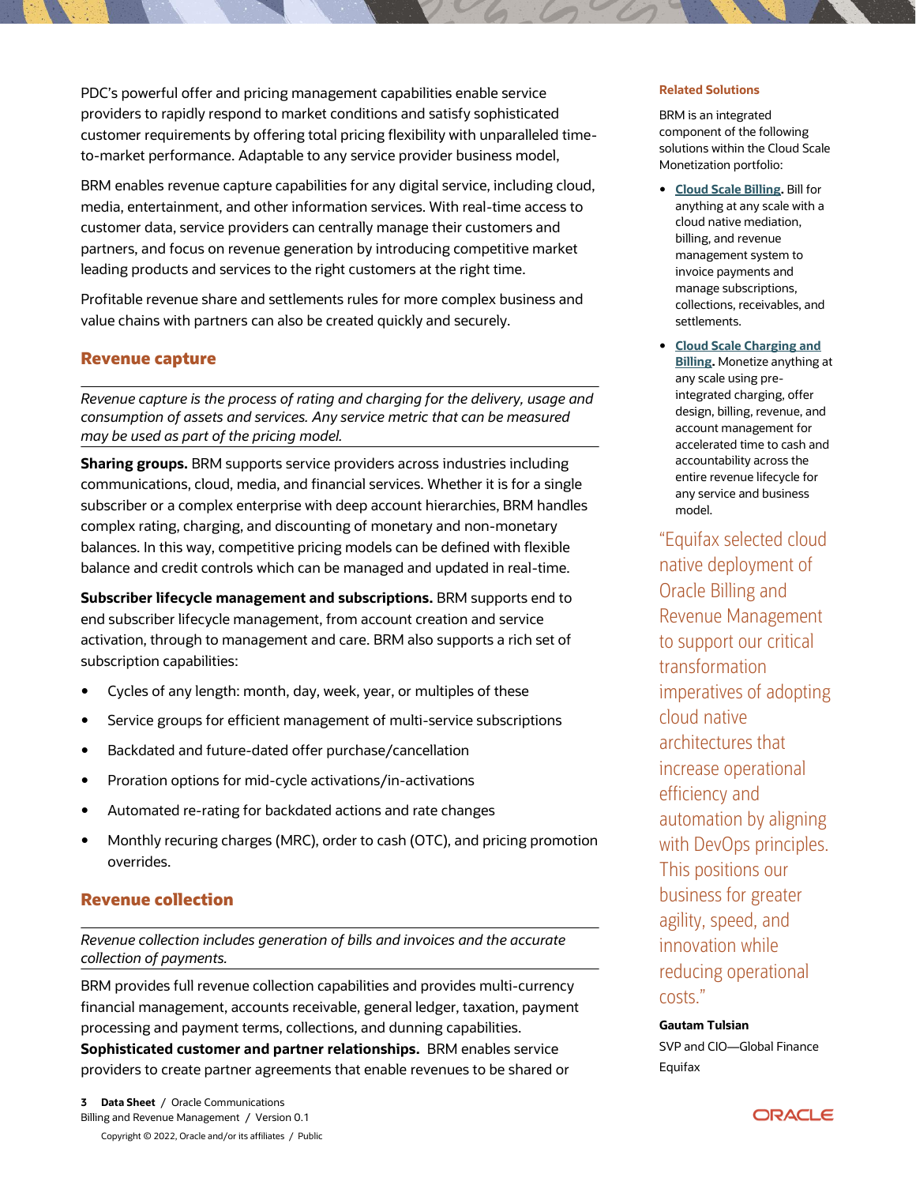PDC's powerful offer and pricing management capabilities enable service providers to rapidly respond to market conditions and satisfy sophisticated customer requirements by offering total pricing flexibility with unparalleled timeto-market performance. Adaptable to any service provider business model,

BRM enables revenue capture capabilities for any digital service, including cloud, media, entertainment, and other information services. With real-time access to customer data, service providers can centrally manage their customers and partners, and focus on revenue generation by introducing competitive market leading products and services to the right customers at the right time.

Profitable revenue share and settlements rules for more complex business and value chains with partners can also be created quickly and securely.

## **Revenue capture**

*Revenue capture is the process of rating and charging for the delivery, usage and consumption of assets and services. Any service metric that can be measured may be used as part of the pricing model.*

**Sharing groups.** BRM supports service providers across industries including communications, cloud, media, and financial services. Whether it is for a single subscriber or a complex enterprise with deep account hierarchies, BRM handles complex rating, charging, and discounting of monetary and non-monetary balances. In this way, competitive pricing models can be defined with flexible balance and credit controls which can be managed and updated in real-time.

**Subscriber lifecycle management and subscriptions.** BRM supports end to end subscriber lifecycle management, from account creation and service activation, through to management and care. BRM also supports a rich set of subscription capabilities:

- Cycles of any length: month, day, week, year, or multiples of these
- Service groups for efficient management of multi-service subscriptions
- Backdated and future-dated offer purchase/cancellation
- Proration options for mid-cycle activations/in-activations
- Automated re-rating for backdated actions and rate changes
- Monthly recuring charges (MRC), order to cash (OTC), and pricing promotion overrides.

## **Revenue collection**

*Revenue collection includes generation of bills and invoices and the accurate collection of payments.*

BRM provides full revenue collection capabilities and provides multi-currency financial management, accounts receivable, general ledger, taxation, payment processing and payment terms, collections, and dunning capabilities.

**Sophisticated customer and partner relationships.** BRM enables service providers to create partner agreements that enable revenues to be shared or

#### **Related Solutions**

BRM is an integrated component of the following solutions within the Cloud Scale Monetization portfolio:

- **[Cloud Scale Billing.](https://www.oracle.com/industries/communications/5g-monetization/billing-revenue-management/)** Bill for anything at any scale with a cloud native mediation, billing, and revenue management system to invoice payments and manage subscriptions, collections, receivables, and settlements.
- **[Cloud Scale Charging and](https://www.oracle.com/industries/communications/5g-monetization/business-support-system/)  [Billing.](https://www.oracle.com/industries/communications/5g-monetization/business-support-system/)** Monetize anything at any scale using preintegrated charging, offer design, billing, revenue, and account management for accelerated time to cash and accountability across the entire revenue lifecycle for any service and business model.

"Equifax selected cloud native deployment of Oracle Billing and Revenue Management to support our critical transformation imperatives of adopting cloud native architectures that increase operational efficiency and automation by aligning with DevOps principles. This positions our business for greater agility, speed, and innovation while reducing operational costs."

## **Gautam Tulsian**

SVP and CIO—Global Finance Equifax

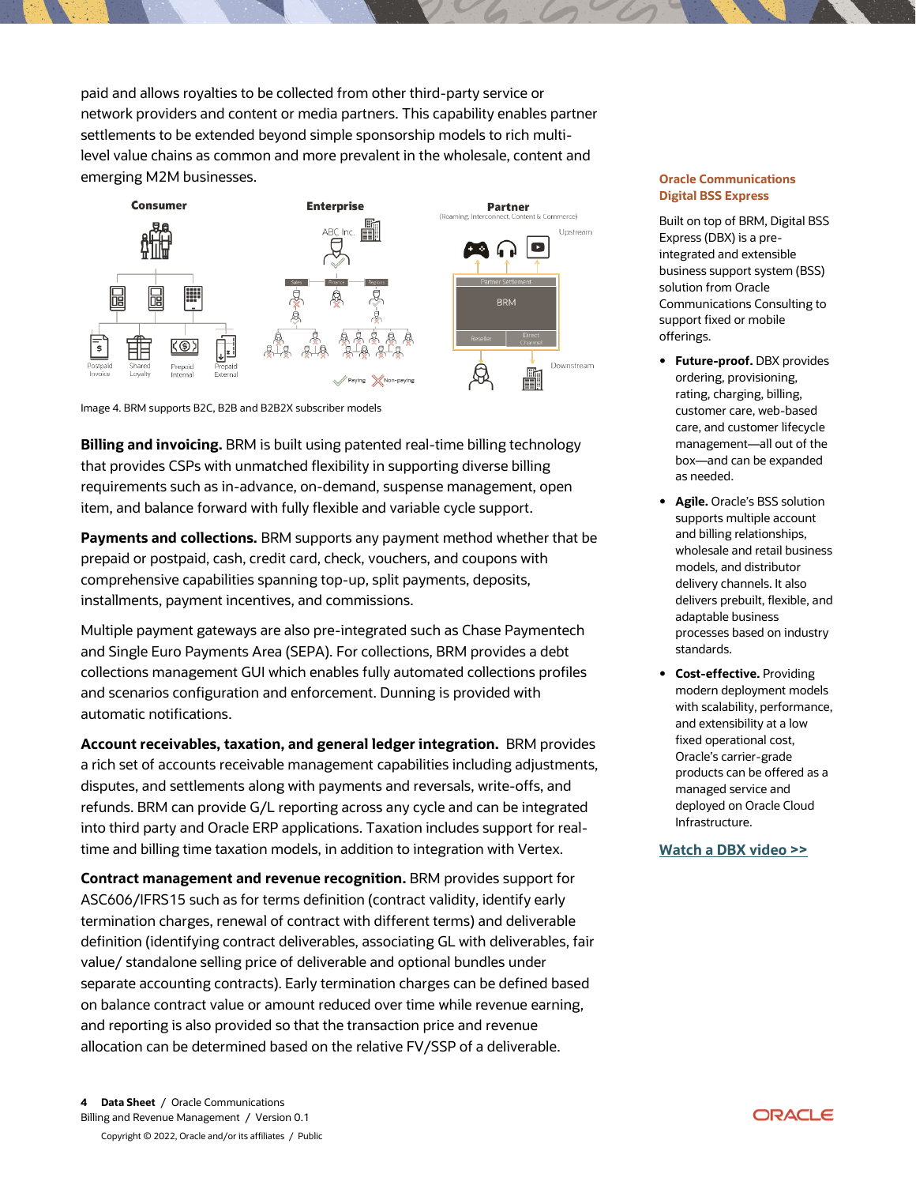paid and allows royalties to be collected from other third-party service or network providers and content or media partners. This capability enables partner settlements to be extended beyond simple sponsorship models to rich multilevel value chains as common and more prevalent in the wholesale, content and emerging M2M businesses.



#### Image 4. BRM supports B2C, B2B and B2B2X subscriber models

**Billing and invoicing.** BRM is built using patented real-time billing technology that provides CSPs with unmatched flexibility in supporting diverse billing requirements such as in-advance, on-demand, suspense management, open item, and balance forward with fully flexible and variable cycle support.

**Payments and collections.** BRM supports any payment method whether that be prepaid or postpaid, cash, credit card, check, vouchers, and coupons with comprehensive capabilities spanning top-up, split payments, deposits, installments, payment incentives, and commissions.

Multiple payment gateways are also pre-integrated such as Chase Paymentech and Single Euro Payments Area (SEPA). For collections, BRM provides a debt collections management GUI which enables fully automated collections profiles and scenarios configuration and enforcement. Dunning is provided with automatic notifications.

**Account receivables, taxation, and general ledger integration.** BRM provides a rich set of accounts receivable management capabilities including adjustments, disputes, and settlements along with payments and reversals, write-offs, and refunds. BRM can provide G/L reporting across any cycle and can be integrated into third party and Oracle ERP applications. Taxation includes support for realtime and billing time taxation models, in addition to integration with Vertex.

**Contract management and revenue recognition.** BRM provides support for ASC606/IFRS15 such as for terms definition (contract validity, identify early termination charges, renewal of contract with different terms) and deliverable definition (identifying contract deliverables, associating GL with deliverables, fair value/ standalone selling price of deliverable and optional bundles under separate accounting contracts). Early termination charges can be defined based on balance contract value or amount reduced over time while revenue earning, and reporting is also provided so that the transaction price and revenue allocation can be determined based on the relative FV/SSP of a deliverable.

#### **Oracle Communications Digital BSS Express**

Built on top of BRM, Digital BSS Express (DBX) is a preintegrated and extensible business support system (BSS) solution from Oracle Communications Consulting to support fixed or mobile offerings.

- **Future-proof.** DBX provides ordering, provisioning, rating, charging, billing, customer care, web-based care, and customer lifecycle management—all out of the box—and can be expanded as needed.
- **Agile.** Oracle's BSS solution supports multiple account and billing relationships, wholesale and retail business models, and distributor delivery channels. It also delivers prebuilt, flexible, and adaptable business processes based on industry standards.
- **Cost-effective.** Providing modern deployment models with scalability, performance, and extensibility at a low fixed operational cost, Oracle's carrier-grade products can be offered as a managed service and deployed on Oracle Cloud Infrastructure.

#### **[Watch a DBX video >>](https://www.oracle.com/industries/communications/5g-monetization/billing-revenue-management/?ytid=mXWqXRj7WuE)**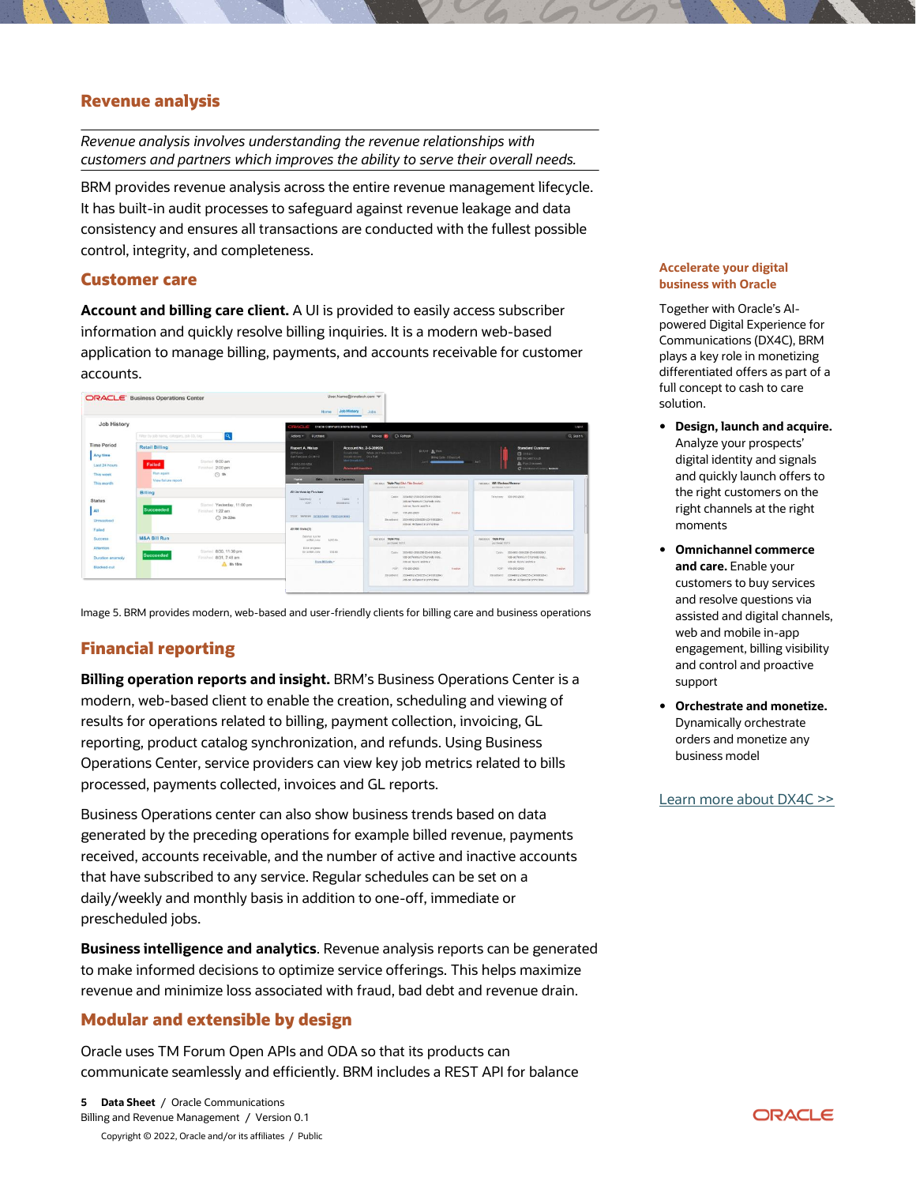## **Revenue analysis**

*Revenue analysis involves understanding the revenue relationships with customers and partners which improves the ability to serve their overall needs.* 

BRM provides revenue analysis across the entire revenue management lifecycle. It has built-in audit processes to safeguard against revenue leakage and data consistency and ensures all transactions are conducted with the fullest possible control, integrity, and completeness.

### **Customer care**

**Account and billing care client.** A UI is provided to easily access subscriber information and quickly resolve billing inquiries. It is a modern web-based application to manage billing, payments, and accounts receivable for customer accounts.



Image 5. BRM provides modern, web-based and user-friendly clients for billing care and business operations

## **Financial reporting**

**Billing operation reports and insight.** BRM's Business Operations Center is a modern, web-based client to enable the creation, scheduling and viewing of results for operations related to billing, payment collection, invoicing, GL reporting, product catalog synchronization, and refunds. Using Business Operations Center, service providers can view key job metrics related to bills processed, payments collected, invoices and GL reports.

Business Operations center can also show business trends based on data generated by the preceding operations for example billed revenue, payments received, accounts receivable, and the number of active and inactive accounts that have subscribed to any service. Regular schedules can be set on a daily/weekly and monthly basis in addition to one-off, immediate or prescheduled jobs.

**Business intelligence and analytics**. Revenue analysis reports can be generated to make informed decisions to optimize service offerings. This helps maximize revenue and minimize loss associated with fraud, bad debt and revenue drain.

## **Modular and extensible by design**

Oracle uses TM Forum Open APIs and ODA so that its products can communicate seamlessly and efficiently. BRM includes a REST API for balance

#### **Accelerate your digital business with Oracle**

Together with Oracle's AIpowered Digital Experience for Communications (DX4C), BRM plays a key role in monetizing differentiated offers as part of a full concept to cash to care solution.

- **Design, launch and acquire.** Analyze your prospects' digital identity and signals and quickly launch offers to the right customers on the right channels at the right moments
- **Omnichannel commerce and care.** Enable your customers to buy services and resolve questions via assisted and digital channels, web and mobile in-app engagement, billing visibility and control and proactive support
- **Orchestrate and monetize.**  Dynamically orchestrate orders and monetize any business model

[Learn more about DX4C >>](https://www.oracle.com/uk/cx/industry/digital-experience/)